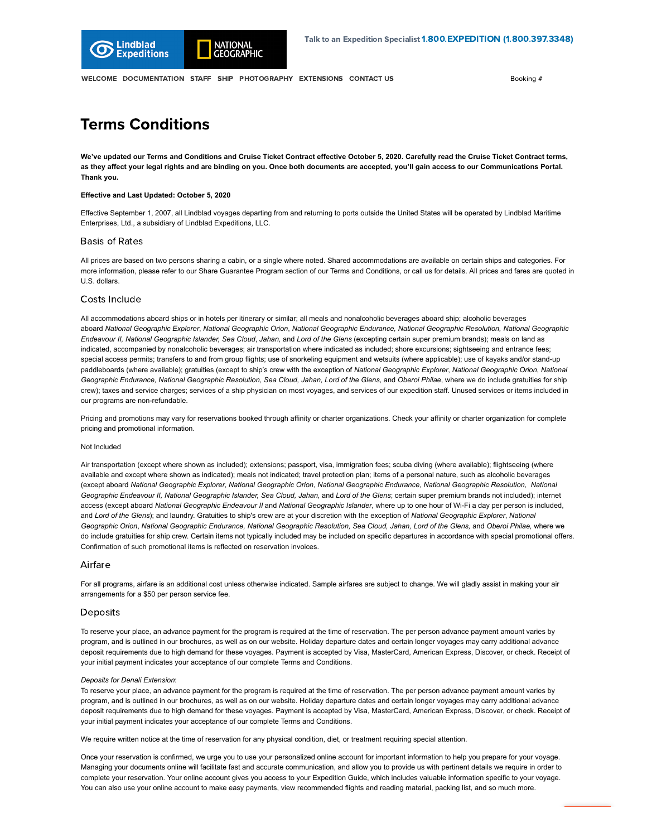

[WELCOME](https://portals.expeditions.com/online-docs/?booking=492851) [DOCUMENTATION](https://portals.expeditions.com/online-docs/forms/?booking=492851) [STAFF](https://portals.expeditions.com/online-docs/staff/?booking=492851) [SHIP](https://portals.expeditions.com/online-docs/ship/?booking=492851) [PHOTOGRAPHY](https://portals.expeditions.com/online-docs/photography/?booking=492851) [EXTENSIONS](https://portals.expeditions.com/online-docs/extensions/?booking=492851) [CONTACT US](https://portals.expeditions.com/online-docs/contact-us/?booking=492851) **BOOKING #** Booking #

# Terms Conditions

**We've updated our Terms and Conditions and Cruise Ticket Contract effective October 5, 2020. Carefully read the Cruise Ticket Contract terms, as they affect your legal rights and are binding on you. Once both documents are accepted, you'll gain access to our Communications Portal. Thank you.**

## **Effective and Last Updated: October 5, 2020**

Effective September 1, 2007, all Lindblad voyages departing from and returning to ports outside the United States will be operated by Lindblad Maritime Enterprises, Ltd., a subsidiary of Lindblad Expeditions, LLC.

### Basis of Rates

All prices are based on two persons sharing a cabin, or a single where noted. Shared accommodations are available on certain ships and categories. For more information, please refer to our Share Guarantee Program section of our Terms and Conditions, or call us for details. All prices and fares are quoted in U.S. dollars.

# Costs Include

All accommodations aboard ships or in hotels per itinerary or similar; all meals and nonalcoholic beverages aboard ship; alcoholic beverages aboard *National Geographic Explorer*, *National Geographic Orion*, *National Geographic Endurance, National Geographic Resolution, National Geographic Endeavour II, National Geographic Islander, Sea Cloud*, *Jahan,* and *Lord of the Glens* (excepting certain super premium brands); meals on land as indicated, accompanied by nonalcoholic beverages; air transportation where indicated as included; shore excursions; sightseeing and entrance fees; special access permits; transfers to and from group flights; use of snorkeling equipment and wetsuits (where applicable); use of kayaks and/or stand-up paddleboards (where available); gratuities (except to ship's crew with the exception of *National Geographic Explorer*, *National Geographic Orion*, *National Geographic Endurance, National Geographic Resolution, Sea Cloud, Jahan, Lord of the Glens,* and *Oberoi Philae*, where we do include gratuities for ship crew); taxes and service charges; services of a ship physician on most voyages, and services of our expedition staff. Unused services or items included in our programs are non-refundable.

Pricing and promotions may vary for reservations booked through affinity or charter organizations. Check your affinity or charter organization for complete pricing and promotional information.

#### Not Included

Air transportation (except where shown as included); extensions; passport, visa, immigration fees; scuba diving (where available); flightseeing (where available and except where shown as indicated); meals not indicated; travel protection plan; items of a personal nature, such as alcoholic beverages (except aboard *National Geographic Explorer*, *National Geographic Orion*, *National Geographic Endurance, National Geographic Resolution, National Geographic Endeavour II, National Geographic Islander, Sea Cloud, Jahan,* and *Lord of the Glens*; certain super premium brands not included); internet access (except aboard *National Geographic Endeavour II* and *National Geographic Islander*, where up to one hour of Wi-Fi a day per person is included, and *Lord of the Glens*); and laundry. Gratuities to ship's crew are at your discretion with the exception of *National Geographic Explorer*, *National Geographic Orion*, *National Geographic Endurance, National Geographic Resolution, Sea Cloud, Jahan, Lord of the Glens,* and *Oberoi Philae,* where we do include gratuities for ship crew. Certain items not typically included may be included on specific departures in accordance with special promotional offers. Confirmation of such promotional items is reflected on reservation invoices.

# Airfare

For all programs, airfare is an additional cost unless otherwise indicated. Sample airfares are subject to change. We will gladly assist in making your air arrangements for a \$50 per person service fee.

### Deposits

To reserve your place, an advance payment for the program is required at the time of reservation. The per person advance payment amount varies by program, and is outlined in our brochures, as well as on our website. Holiday departure dates and certain longer voyages may carry additional advance deposit requirements due to high demand for these voyages. Payment is accepted by Visa, MasterCard, American Express, Discover, or check. Receipt of your initial payment indicates your acceptance of our complete Terms and Conditions.

#### *Deposits for Denali Extension*:

To reserve your place, an advance payment for the program is required at the time of reservation. The per person advance payment amount varies by program, and is outlined in our brochures, as well as on our website. Holiday departure dates and certain longer voyages may carry additional advance deposit requirements due to high demand for these voyages. Payment is accepted by Visa, MasterCard, American Express, Discover, or check. Receipt of your initial payment indicates your acceptance of our complete Terms and Conditions.

We require written notice at the time of reservation for any physical condition, diet, or treatment requiring special attention.

Once your reservation is confirmed, we urge you to use your personalized online account for important information to help you prepare for your voyage. Managing your documents online will facilitate fast and accurate communication, and allow you to provide us with pertinent details we require in order to complete your reservation. Your online account gives you access to your Expedition Guide, which includes valuable information specific to your voyage. You can also use your online account to make easy payments, view recommended flights and reading material, packing list, and so much more.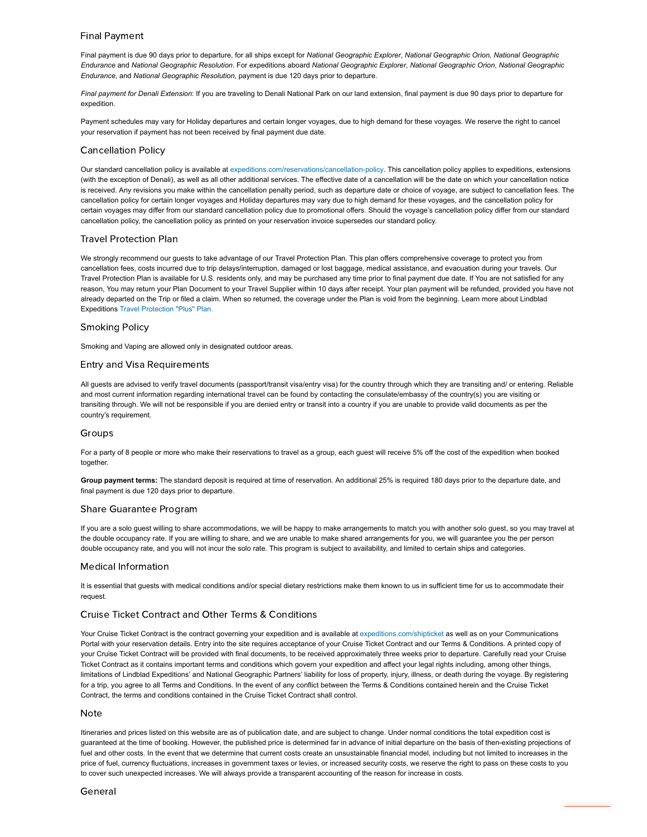# [Final Payment](https://portals.expeditions.com/EPiServer/CMS/?language=en#context=epi.cms.contentdata:///251927)

Final payment is due 90 days prior to departure, for all ships except for *National Geographic Explorer*, *National Geographic Orion, National Geographic Endurance* and *National Geographic Resolution*. For expeditions aboard *National Geographic Explorer*, *National Geographic Orion*, *National Geographic Endurance,* and *National Geographic Resolution,* payment is due 120 days prior to departure.

*Final payment for Denali Extension*: If you are traveling to Denali National Park on our land extension, final payment is due 90 days prior to departure for expedition.

Payment schedules may vary for Holiday departures and certain longer voyages, due to high demand for these voyages. We reserve the right to cancel your reservation if payment has not been received by final payment due date.

# Cancellation Policy

Our standard cancellation policy is available at [expeditions.com/reservations/cancellation-policy](https://www.expeditions.com/reservations/cancellation-policy). This cancellation policy applies to expeditions, extensions (with the exception of Denali), as well as all other additional services. The effective date of a cancellation will be the date on which your cancellation notice is received. Any revisions you make within the cancellation penalty period, such as departure date or choice of voyage, are subject to cancellation fees. The cancellation policy for certain longer voyages and Holiday departures may vary due to high demand for these voyages, and the cancellation policy for certain voyages may differ from our standard cancellation policy due to promotional offers. Should the voyage's cancellation policy differ from our standard cancellation policy, the cancellation policy as printed on your reservation invoice supersedes our standard policy.

#### Travel Protection Plan

We strongly recommend our quests to take advantage of our Travel Protection Plan. This plan offers comprehensive coverage to protect you from cancellation fees, costs incurred due to trip delays/interruption, damaged or lost baggage, medical assistance, and evacuation during your travels. Our Travel Protection Plan is available for U.S. residents only, and may be purchased any time prior to final payment due date. If You are not satisfied for any reason, You may return your Plan Document to your Travel Supplier within 10 days after receipt. Your plan payment will be refunded, provided you have not already departed on the Trip or filed a claim. When so returned, the coverage under the Plan is void from the beginning. Learn more about Lindblad Expeditions [Travel Protection "Plus" Plan.](https://portals.expeditions.com/reservations/travel-protection-plan/)

# Smoking Policy

Smoking and Vaping are allowed only in designated outdoor areas.

# Entry and Visa Requirements

All guests are advised to verify travel documents (passport/transit visa/entry visa) for the country through which they are transiting and/ or entering. Reliable and most current information regarding international travel can be found by contacting the consulate/embassy of the country(s) you are visiting or transiting through. We will not be responsible if you are denied entry or transit into a country if you are unable to provide valid documents as per the country's requirement.

# Groups

For a party of 8 people or more who make their reservations to travel as a group, each guest will receive 5% off the cost of the expedition when booked together

**Group payment terms:** The standard deposit is required at time of reservation. An additional 25% is required 180 days prior to the departure date, and final payment is due 120 days prior to departure.

# Share Guarantee Program

If you are a solo guest willing to share accommodations, we will be happy to make arrangements to match you with another solo guest, so you may travel at the double occupancy rate. If you are willing to share, and we are unable to make shared arrangements for you, we will guarantee you the per person double occupancy rate, and you will not incur the solo rate. This program is subject to availability, and limited to certain ships and categories.

# Medical Information

It is essential that guests with medical conditions and/or special dietary restrictions make them known to us in sufficient time for us to accommodate their request.

# Cruise Ticket Contract and Other Terms & Conditions

Your Cruise Ticket Contract is the contract governing your expedition and is available at [expeditions.com/shipticket](https://www.expeditions.com/shipticket) as well as on your Communications Portal with your reservation details. Entry into the site requires acceptance of your Cruise Ticket Contract and our Terms & Conditions. A printed copy of your Cruise Ticket Contract will be provided with final documents, to be received approximately three weeks prior to departure. Carefully read your Cruise Ticket Contract as it contains important terms and conditions which govern your expedition and affect your legal rights including, among other things, limitations of Lindblad Expeditions' and National Geographic Partners' liability for loss of property, injury, illness, or death during the voyage. By registering for a trip, you agree to all Terms and Conditions. In the event of any conflict between the Terms & Conditions contained herein and the Cruise Ticket Contract, the terms and conditions contained in the Cruise Ticket Contract shall control.

#### Note

Itineraries and prices listed on this website are as of publication date, and are subject to change. Under normal conditions the total expedition cost is guaranteed at the time of booking. However, the published price is determined far in advance of initial departure on the basis of then-existing projections of fuel and other costs. In the event that we determine that current costs create an unsustainable financial model, including but not limited to increases in the price of fuel, currency fluctuations, increases in government taxes or levies, or increased security costs, we reserve the right to pass on these costs to you to cover such unexpected increases. We will always provide a transparent accounting of the reason for increase in costs.